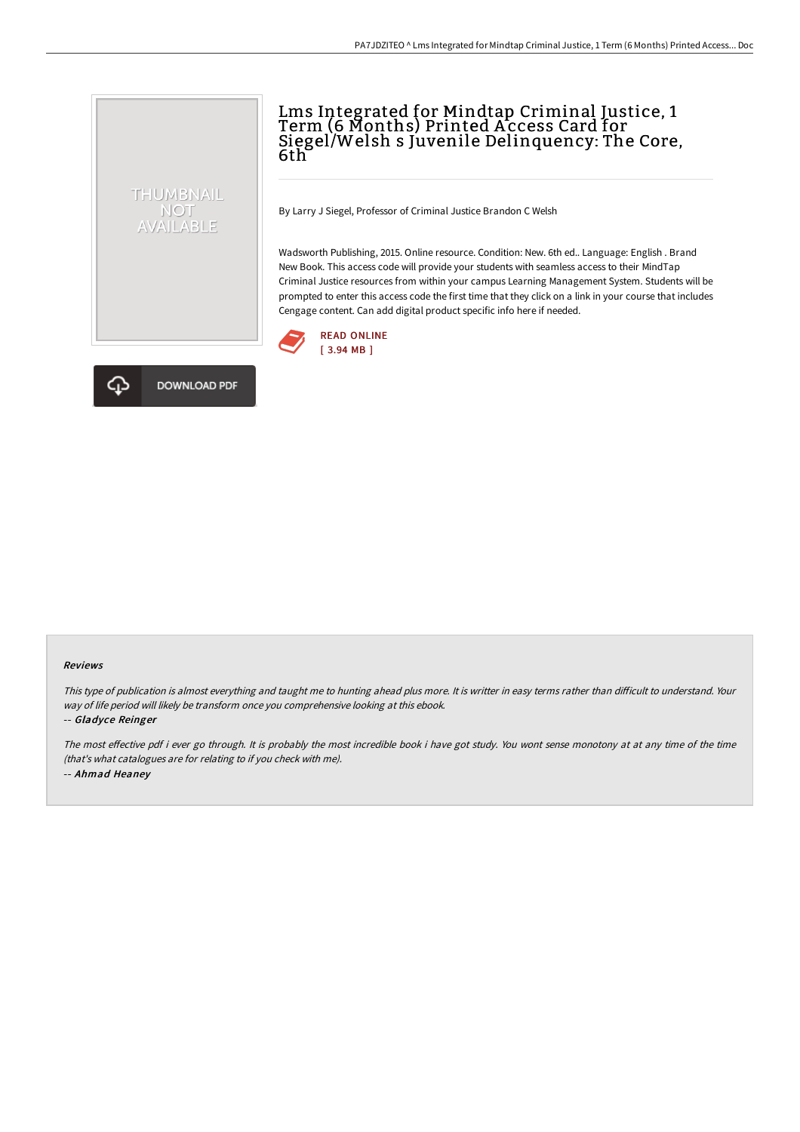## Lms Integrated for Mindtap Criminal Justice, 1 Term (6 Months) Printed A ccess Card for Siegel/Welsh s Juvenile Delinquency: The Core, 6th

By Larry J Siegel, Professor of Criminal Justice Brandon C Welsh

Wadsworth Publishing, 2015. Online resource. Condition: New. 6th ed.. Language: English . Brand New Book. This access code will provide your students with seamless access to their MindTap Criminal Justice resources from within your campus Learning Management System. Students will be prompted to enter this access code the first time that they click on a link in your course that includes Cengage content. Can add digital product specific info here if needed.





THUMBNAIL NOT<br>AVAILABLE

#### Reviews

This type of publication is almost everything and taught me to hunting ahead plus more. It is writter in easy terms rather than difficult to understand. Your way of life period will likely be transform once you comprehensive looking at this ebook.

#### -- Gladyce Reinger

The most effective pdf i ever go through. It is probably the most incredible book i have got study. You wont sense monotony at at any time of the time (that's what catalogues are for relating to if you check with me). -- Ahmad Heaney